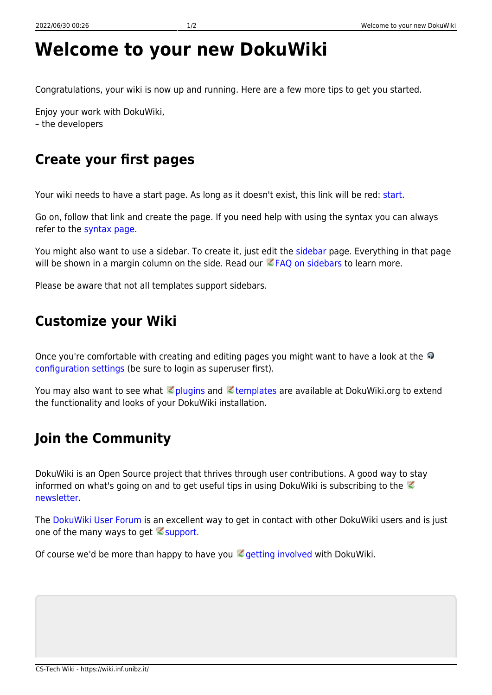## **Welcome to your new DokuWiki**

Congratulations, your wiki is now up and running. Here are a few more tips to get you started.

Enjoy your work with DokuWiki, – the developers

## **Create your first pages**

Your wiki needs to have a start page. As long as it doesn't exist, this link will be red: [start.](https://wiki.inf.unibz.it/doku.php?id=start)

Go on, follow that link and create the page. If you need help with using the syntax you can always refer to the [syntax page.](https://wiki.inf.unibz.it/doku.php?id=wiki:syntax)

You might also want to use a sidebar. To create it, just edit the [sidebar](https://wiki.inf.unibz.it/doku.php?id=sidebar) page. Everything in that page will be shown in a margin column on the side. Read our  $EFAQ$  on sidebars to learn more.

Please be aware that not all templates support sidebars.

## **Customize your Wiki**

Onceyou're comfortable with creating and editing pages you might want to have a look at the [configuration settings](https://wiki.inf.unibz.it/doku.php?do=admin&page=config) (be sure to login as superuser first).

You may also want to see what **plugins and Etemplates are available at DokuWiki.org to extend** the functionality and looks of your DokuWiki installation.

## **Join the Community**

DokuWiki is an Open Source project that thrives through user contributions. A good way to stay informedon what's going on and to get useful tips in using DokuWiki is subscribing to the  $\mathbb Z$ [newsletter.](https://www.dokuwiki.org/newsletter)

The [DokuWiki User Forum](https://forum.dokuwiki.org) is an excellent way to get in contact with other DokuWiki users and is just one of the many ways to get  $\leq$  [support.](https://www.dokuwiki.org/faq%3Asupport)

Of course we'd be more than happy to have you  $\leq$  [getting involved](https://www.dokuwiki.org/teams%3Agetting_involved) with DokuWiki.